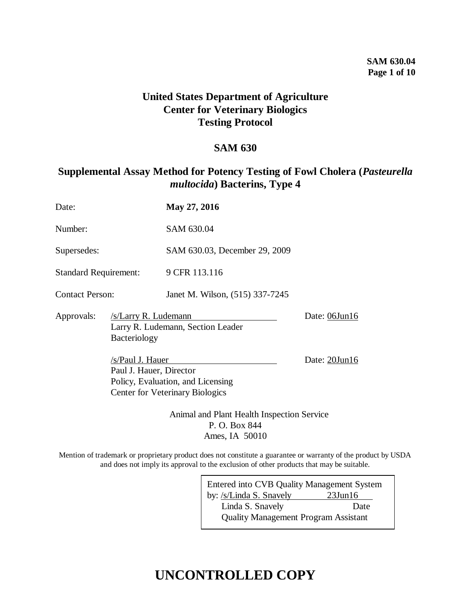### **SAM 630.04 Page 1 of 10**

# **United States Department of Agriculture Center for Veterinary Biologics Testing Protocol**

## **SAM 630**

# **Supplemental Assay Method for Potency Testing of Fowl Cholera (***Pasteurella multocida***) Bacterins, Type 4**

| Date:                        |                                                                                                                            | May 27, 2016                    |  |  |  |  |
|------------------------------|----------------------------------------------------------------------------------------------------------------------------|---------------------------------|--|--|--|--|
| Number:                      |                                                                                                                            | SAM 630.04                      |  |  |  |  |
| Supersedes:                  |                                                                                                                            | SAM 630.03, December 29, 2009   |  |  |  |  |
| <b>Standard Requirement:</b> |                                                                                                                            | 9 CFR 113.116                   |  |  |  |  |
| <b>Contact Person:</b>       |                                                                                                                            | Janet M. Wilson, (515) 337-7245 |  |  |  |  |
| Approvals:                   | /s/Larry R. Ludemann<br>Larry R. Ludemann, Section Leader<br>Bacteriology                                                  | Date: 06Jun16                   |  |  |  |  |
|                              | /s/Paul J. Hauer<br>Paul J. Hauer, Director<br>Policy, Evaluation, and Licensing<br><b>Center for Veterinary Biologics</b> | Date: 20Jun16                   |  |  |  |  |

Animal and Plant Health Inspection Service P. O. Box 844 Ames, IA 50010

Mention of trademark or proprietary product does not constitute a guarantee or warranty of the product by USDA and does not imply its approval to the exclusion of other products that may be suitable.

> Entered into CVB Quality Management System by: /s/Linda S. Snavely 23Jun16 Linda S. Snavely Date Quality Management Program Assistant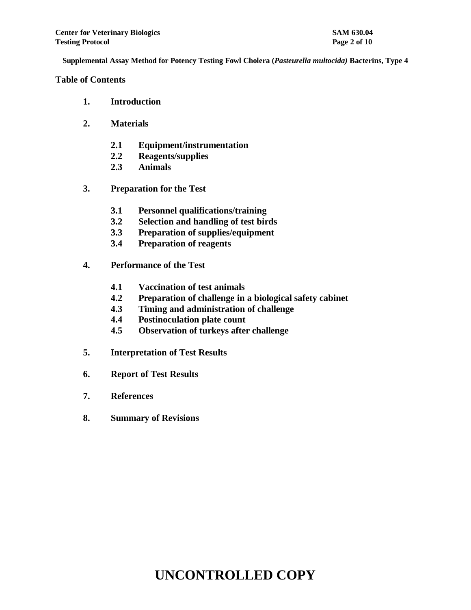#### **Table of Contents**

- **1. Introduction**
- **2. Materials**
	- **2.1 Equipment/instrumentation**
	- **2.2 Reagents/supplies**
	- **2.3 Animals**
- **3. Preparation for the Test**
	- **3.1 Personnel qualifications/training**
	- **3.2 Selection and handling of test birds**
	- **3.3 Preparation of supplies/equipment**
	- **3.4 Preparation of reagents**
- **4. Performance of the Test**
	- **4.1 Vaccination of test animals**
	- **4.2 Preparation of challenge in a biological safety cabinet**
	- **4.3 Timing and administration of challenge**
	- **4.4 Postinoculation plate count**
	- **4.5 Observation of turkeys after challenge**
- **5. Interpretation of Test Results**
- **6. Report of Test Results**
- **7. References**
- **8. Summary of Revisions**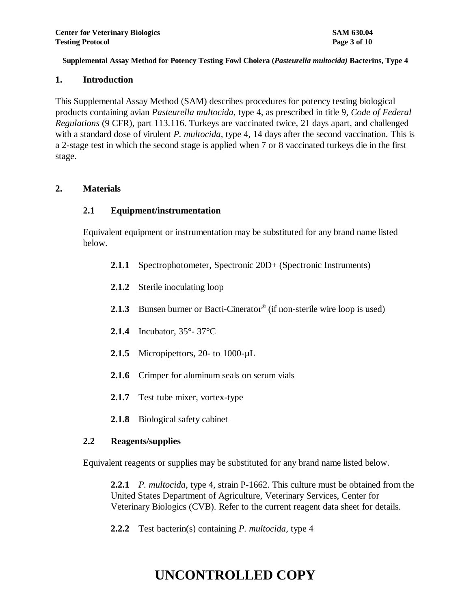#### **1. Introduction**

This Supplemental Assay Method (SAM) describes procedures for potency testing biological products containing avian *Pasteurella multocida,* type 4, as prescribed in title 9, *Code of Federal Regulations* (9 CFR), part 113.116. Turkeys are vaccinated twice, 21 days apart, and challenged with a standard dose of virulent *P. multocida,* type 4, 14 days after the second vaccination. This is a 2-stage test in which the second stage is applied when 7 or 8 vaccinated turkeys die in the first stage.

### **2. Materials**

### **2.1 Equipment/instrumentation**

Equivalent equipment or instrumentation may be substituted for any brand name listed below.

- **2.1.1** Spectrophotometer, Spectronic 20D+ (Spectronic Instruments)
- **2.1.2** Sterile inoculating loop
- 2.1.3 Bunsen burner or Bacti-Cinerator<sup>®</sup> (if non-sterile wire loop is used)
- **2.1.4** Incubator, 35°- 37°C
- **2.1.5** Micropipettors, 20- to 1000-µL
- **2.1.6** Crimper for aluminum seals on serum vials
- **2.1.7** Test tube mixer, vortex-type
- **2.1.8** Biological safety cabinet

#### **2.2 Reagents/supplies**

Equivalent reagents or supplies may be substituted for any brand name listed below.

**2.2.1** *P. multocida*, type 4, strain P-1662. This culture must be obtained from the United States Department of Agriculture, Veterinary Services, Center for Veterinary Biologics (CVB). Refer to the current reagent data sheet for details.

**2.2.2** Test bacterin(s) containing *P. multocida,* type 4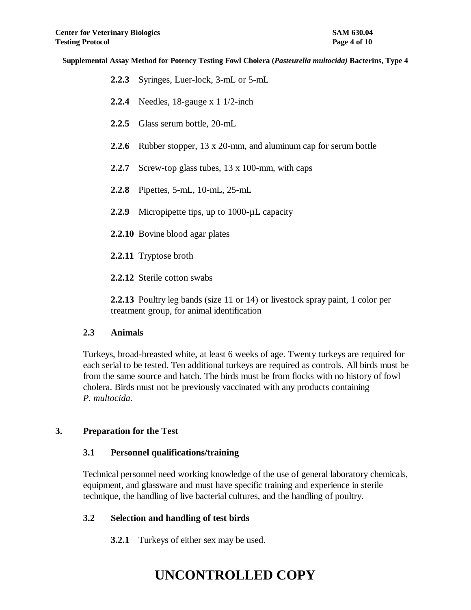- **2.2.3** Syringes, Luer-lock, 3-mL or 5-mL
- **2.2.4** Needles, 18-gauge x 1 1/2-inch
- **2.2.5** Glass serum bottle, 20-mL
- **2.2.6** Rubber stopper, 13 x 20-mm, and aluminum cap for serum bottle
- **2.2.7** Screw-top glass tubes, 13 x 100-mm, with caps
- **2.2.8** Pipettes, 5-mL, 10-mL, 25-mL
- 2.2.9 Micropipette tips, up to 1000-µL capacity
- **2.2.10** Bovine blood agar plates
- **2.2.11** Tryptose broth
- **2.2.12** Sterile cotton swabs

**2.2.13** Poultry leg bands (size 11 or 14) or livestock spray paint, 1 color per treatment group, for animal identification

#### **2.3 Animals**

Turkeys, broad-breasted white, at least 6 weeks of age. Twenty turkeys are required for each serial to be tested. Ten additional turkeys are required as controls. All birds must be from the same source and hatch. The birds must be from flocks with no history of fowl cholera. Birds must not be previously vaccinated with any products containing *P. multocida.* 

#### **3. Preparation for the Test**

#### **3.1 Personnel qualifications/training**

Technical personnel need working knowledge of the use of general laboratory chemicals, equipment, and glassware and must have specific training and experience in sterile technique, the handling of live bacterial cultures, and the handling of poultry.

### **3.2 Selection and handling of test birds**

**3.2.1** Turkeys of either sex may be used.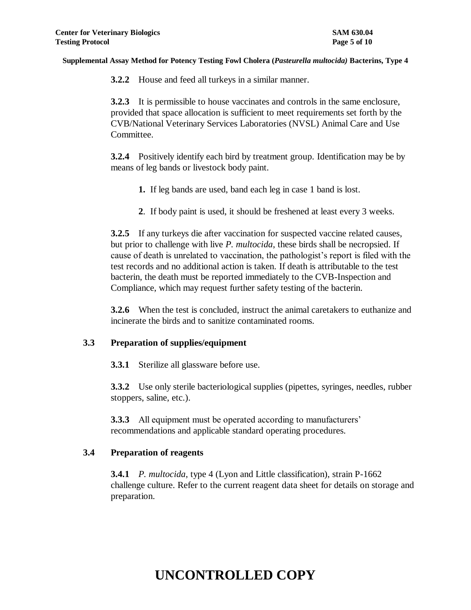**3.2.2** House and feed all turkeys in a similar manner.

**3.2.3** It is permissible to house vaccinates and controls in the same enclosure, provided that space allocation is sufficient to meet requirements set forth by the CVB/National Veterinary Services Laboratories (NVSL) Animal Care and Use Committee.

**3.2.4** Positively identify each bird by treatment group. Identification may be by means of leg bands or livestock body paint.

- **1.** If leg bands are used, band each leg in case 1 band is lost.
- **2**. If body paint is used, it should be freshened at least every 3 weeks.

**3.2.5** If any turkeys die after vaccination for suspected vaccine related causes, but prior to challenge with live *P. multocida*, these birds shall be necropsied. If cause of death is unrelated to vaccination, the pathologist's report is filed with the test records and no additional action is taken. If death is attributable to the test bacterin, the death must be reported immediately to the CVB-Inspection and Compliance, which may request further safety testing of the bacterin.

**3.2.6** When the test is concluded, instruct the animal caretakers to euthanize and incinerate the birds and to sanitize contaminated rooms.

#### **3.3 Preparation of supplies/equipment**

**3.3.1** Sterilize all glassware before use.

**3.3.2** Use only sterile bacteriological supplies (pipettes, syringes, needles, rubber stoppers, saline, etc.).

**3.3.3** All equipment must be operated according to manufacturers' recommendations and applicable standard operating procedures.

### **3.4 Preparation of reagents**

**3.4.1** *P. multocida*, type 4 (Lyon and Little classification), strain P-1662 challenge culture. Refer to the current reagent data sheet for details on storage and preparation.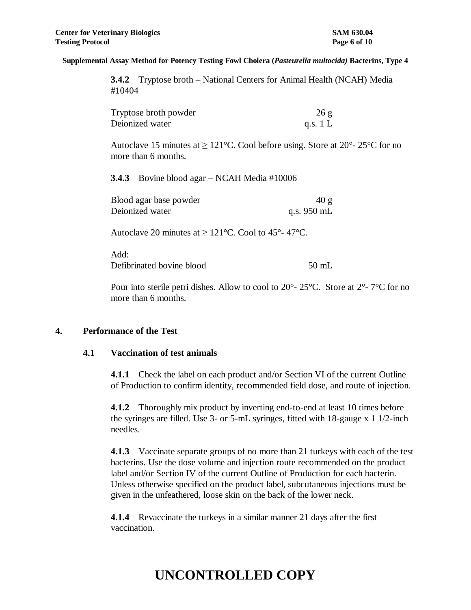**3.4.2** Tryptose broth – National Centers for Animal Health (NCAH) Media #10404

| Tryptose broth powder | 26g        |
|-----------------------|------------|
| Deionized water       | q.s. $1 L$ |

Autoclave 15 minutes at  $\geq 121^{\circ}$ C. Cool before using. Store at  $20^{\circ}$ - 25<sup>o</sup>C for no more than 6 months.

**3.4.3** Bovine blood agar – NCAH Media #10006

| Blood agar base powder | 40 g                  |
|------------------------|-----------------------|
| Deionized water        | q.s. $950 \text{ mL}$ |

Autoclave 20 minutes at  $\geq 121^{\circ}$ C. Cool to 45°-47°C.

Add: Defibrinated bovine blood 50 mL

Pour into sterile petri dishes. Allow to cool to 20°- 25°C. Store at 2°- 7°C for no more than 6 months.

#### **4. Performance of the Test**

#### **4.1 Vaccination of test animals**

**4.1.1** Check the label on each product and/or Section VI of the current Outline of Production to confirm identity, recommended field dose, and route of injection.

**4.1.2** Thoroughly mix product by inverting end-to-end at least 10 times before the syringes are filled. Use 3- or 5-mL syringes, fitted with 18-gauge x 1 1/2-inch needles.

**4.1.3** Vaccinate separate groups of no more than 21 turkeys with each of the test bacterins. Use the dose volume and injection route recommended on the product label and/or Section IV of the current Outline of Production for each bacterin. Unless otherwise specified on the product label, subcutaneous injections must be given in the unfeathered, loose skin on the back of the lower neck.

**4.1.4** Revaccinate the turkeys in a similar manner 21 days after the first vaccination.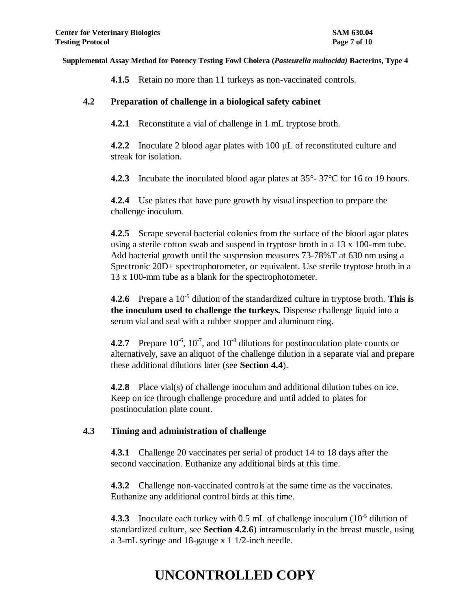**4.1.5** Retain no more than 11 turkeys as non-vaccinated controls.

### **4.2 Preparation of challenge in a biological safety cabinet**

**4.2.1** Reconstitute a vial of challenge in 1 mL tryptose broth.

**4.2.2** Inoculate 2 blood agar plates with 100 µL of reconstituted culture and streak for isolation.

**4.2.3** Incubate the inoculated blood agar plates at 35°- 37°C for 16 to 19 hours.

**4.2.4** Use plates that have pure growth by visual inspection to prepare the challenge inoculum.

**4.2.5** Scrape several bacterial colonies from the surface of the blood agar plates using a sterile cotton swab and suspend in tryptose broth in a 13 x 100-mm tube. Add bacterial growth until the suspension measures 73-78%T at 630 nm using a Spectronic 20D+ spectrophotometer, or equivalent. Use sterile tryptose broth in a 13 x 100-mm tube as a blank for the spectrophotometer.

**4.2.6** Prepare a 10<sup>-5</sup> dilution of the standardized culture in tryptose broth. This is **the inoculum used to challenge the turkeys.** Dispense challenge liquid into a serum vial and seal with a rubber stopper and aluminum ring.

**4.2.7** Prepare  $10^{-6}$ ,  $10^{-7}$ , and  $10^{-8}$  dilutions for postinoculation plate counts or alternatively, save an aliquot of the challenge dilution in a separate vial and prepare these additional dilutions later (see **Section 4.4**).

**4.2.8** Place vial(s) of challenge inoculum and additional dilution tubes on ice. Keep on ice through challenge procedure and until added to plates for postinoculation plate count.

#### **4.3 Timing and administration of challenge**

**4.3.1** Challenge 20 vaccinates per serial of product 14 to 18 days after the second vaccination. Euthanize any additional birds at this time.

**4.3.2** Challenge non-vaccinated controls at the same time as the vaccinates. Euthanize any additional control birds at this time.

**4.3.3** Inoculate each turkey with 0.5 mL of challenge inoculum (10<sup>-5</sup> dilution of standardized culture, see **Section 4.2.6**) intramuscularly in the breast muscle, using a 3-mL syringe and 18-gauge x 1 1/2-inch needle.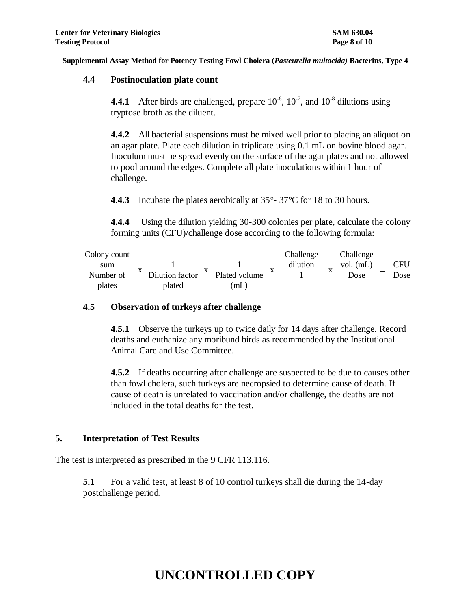### **4.4 Postinoculation plate count**

**4.4.1** After birds are challenged, prepare  $10^{-6}$ ,  $10^{-7}$ , and  $10^{-8}$  dilutions using tryptose broth as the diluent.

**4.4.2** All bacterial suspensions must be mixed well prior to placing an aliquot on an agar plate. Plate each dilution in triplicate using 0.1 mL on bovine blood agar. Inoculum must be spread evenly on the surface of the agar plates and not allowed to pool around the edges. Complete all plate inoculations within 1 hour of challenge.

**4**.**4.3** Incubate the plates aerobically at 35°- 37°C for 18 to 30 hours.

**4.4.4** Using the dilution yielding 30-300 colonies per plate, calculate the colony forming units (CFU)/challenge dose according to the following formula:

| Colony count |           |                 |               | Challenge | Challenge   |      |
|--------------|-----------|-----------------|---------------|-----------|-------------|------|
| sum          |           |                 |               | dilution  | vol. $(mL)$ | CFU  |
| Number of    | $\Lambda$ | Dilution factor | Plated volume |           | Dose        | Dose |
| plates       |           | plated          | (mL)          |           |             |      |

### **4.5 Observation of turkeys after challenge**

**4.5.1** Observe the turkeys up to twice daily for 14 days after challenge. Record deaths and euthanize any moribund birds as recommended by the Institutional Animal Care and Use Committee.

**4.5.2** If deaths occurring after challenge are suspected to be due to causes other than fowl cholera, such turkeys are necropsied to determine cause of death. If cause of death is unrelated to vaccination and/or challenge, the deaths are not included in the total deaths for the test.

## **5. Interpretation of Test Results**

The test is interpreted as prescribed in the 9 CFR 113.116.

**5.1** For a valid test, at least 8 of 10 control turkeys shall die during the 14-day postchallenge period.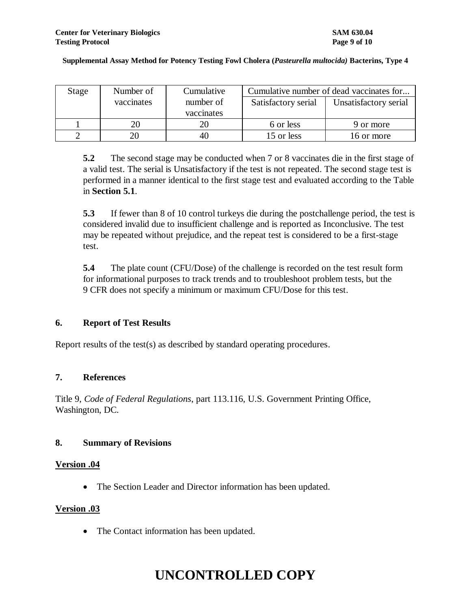| Stage | Number of  | Cumulative | Cumulative number of dead vaccinates for |                       |  |
|-------|------------|------------|------------------------------------------|-----------------------|--|
|       | vaccinates | number of  | Satisfactory serial                      | Unsatisfactory serial |  |
|       |            | vaccinates |                                          |                       |  |
|       | 20         |            | 6 or less                                | 9 or more             |  |
|       |            |            | 15 or less                               | 16 or more            |  |

**5.2** The second stage may be conducted when 7 or 8 vaccinates die in the first stage of a valid test. The serial is Unsatisfactory if the test is not repeated. The second stage test is performed in a manner identical to the first stage test and evaluated according to the Table in **Section 5.1**.

**5.3** If fewer than 8 of 10 control turkeys die during the postchallenge period, the test is considered invalid due to insufficient challenge and is reported as Inconclusive. The test may be repeated without prejudice, and the repeat test is considered to be a first-stage test.

**5.4** The plate count (CFU/Dose) of the challenge is recorded on the test result form for informational purposes to track trends and to troubleshoot problem tests, but the 9 CFR does not specify a minimum or maximum CFU/Dose for this test.

### **6. Report of Test Results**

Report results of the test(s) as described by standard operating procedures.

### **7. References**

Title 9, *Code of Federal Regulations*, part 113.116, U.S. Government Printing Office, Washington, DC.

### **8. Summary of Revisions**

#### **Version .04**

The Section Leader and Director information has been updated.

### **Version .03**

• The Contact information has been updated.